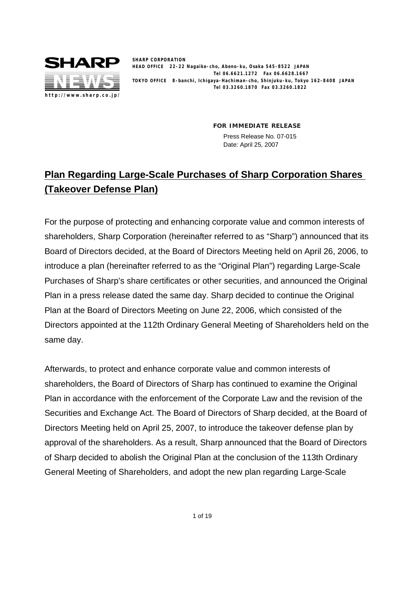

**SHARP CORPORATION HEAD OFFICE 22-22 Nagaike-cho, Abeno-ku, Osaka 545-8522 JAPAN Tel 06.6621.1272 Fax 06.6628.1667 TOKYO OFFICE 8-banchi, Ichigaya-Hachiman-cho, Shinjuku-ku, Tokyo 162-8408 JAPAN Tel 03.3260.1870 Fax 03.3260.1822**

> **FOR IMMEDIATE RELEASE** Press Release No. 07-015 Date: April 25, 2007

# **Plan Regarding Large-Scale Purchases of Sharp Corporation Shares (Takeover Defense Plan)**

For the purpose of protecting and enhancing corporate value and common interests of shareholders, Sharp Corporation (hereinafter referred to as "Sharp") announced that its Board of Directors decided, at the Board of Directors Meeting held on April 26, 2006, to introduce a plan (hereinafter referred to as the "Original Plan") regarding Large-Scale Purchases of Sharp's share certificates or other securities, and announced the Original Plan in a press release dated the same day. Sharp decided to continue the Original Plan at the Board of Directors Meeting on June 22, 2006, which consisted of the Directors appointed at the 112th Ordinary General Meeting of Shareholders held on the same day.

Afterwards, to protect and enhance corporate value and common interests of shareholders, the Board of Directors of Sharp has continued to examine the Original Plan in accordance with the enforcement of the Corporate Law and the revision of the Securities and Exchange Act. The Board of Directors of Sharp decided, at the Board of Directors Meeting held on April 25, 2007, to introduce the takeover defense plan by approval of the shareholders. As a result, Sharp announced that the Board of Directors of Sharp decided to abolish the Original Plan at the conclusion of the 113th Ordinary General Meeting of Shareholders, and adopt the new plan regarding Large-Scale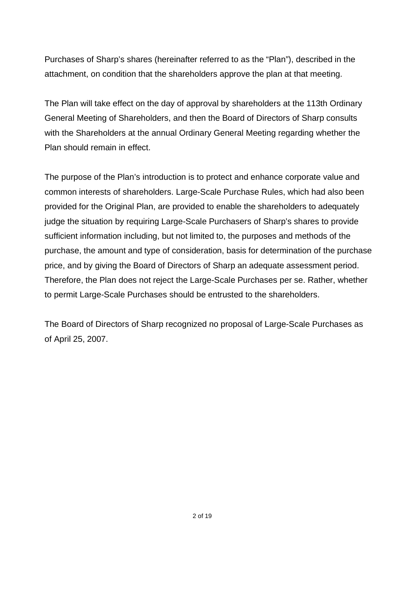Purchases of Sharp's shares (hereinafter referred to as the "Plan"), described in the attachment, on condition that the shareholders approve the plan at that meeting.

The Plan will take effect on the day of approval by shareholders at the 113th Ordinary General Meeting of Shareholders, and then the Board of Directors of Sharp consults with the Shareholders at the annual Ordinary General Meeting regarding whether the Plan should remain in effect.

The purpose of the Plan's introduction is to protect and enhance corporate value and common interests of shareholders. Large-Scale Purchase Rules, which had also been provided for the Original Plan, are provided to enable the shareholders to adequately judge the situation by requiring Large-Scale Purchasers of Sharp's shares to provide sufficient information including, but not limited to, the purposes and methods of the purchase, the amount and type of consideration, basis for determination of the purchase price, and by giving the Board of Directors of Sharp an adequate assessment period. Therefore, the Plan does not reject the Large-Scale Purchases per se. Rather, whether to permit Large-Scale Purchases should be entrusted to the shareholders.

The Board of Directors of Sharp recognized no proposal of Large-Scale Purchases as of April 25, 2007.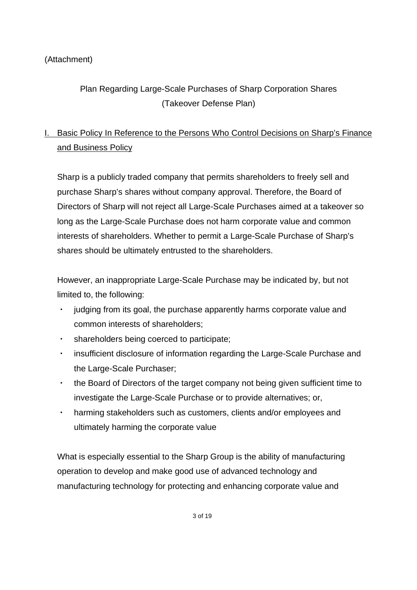## (Attachment)

# Plan Regarding Large-Scale Purchases of Sharp Corporation Shares (Takeover Defense Plan)

# I. Basic Policy In Reference to the Persons Who Control Decisions on Sharp's Finance and Business Policy

Sharp is a publicly traded company that permits shareholders to freely sell and purchase Sharp's shares without company approval. Therefore, the Board of Directors of Sharp will not reject all Large-Scale Purchases aimed at a takeover so long as the Large-Scale Purchase does not harm corporate value and common interests of shareholders. Whether to permit a Large-Scale Purchase of Sharp's shares should be ultimately entrusted to the shareholders.

However, an inappropriate Large-Scale Purchase may be indicated by, but not limited to, the following:

- judging from its goal, the purchase apparently harms corporate value and common interests of shareholders;
- shareholders being coerced to participate;
- insufficient disclosure of information regarding the Large-Scale Purchase and the Large-Scale Purchaser;
- $\cdot$  the Board of Directors of the target company not being given sufficient time to investigate the Large-Scale Purchase or to provide alternatives; or,
- harming stakeholders such as customers, clients and/or employees and ultimately harming the corporate value

What is especially essential to the Sharp Group is the ability of manufacturing operation to develop and make good use of advanced technology and manufacturing technology for protecting and enhancing corporate value and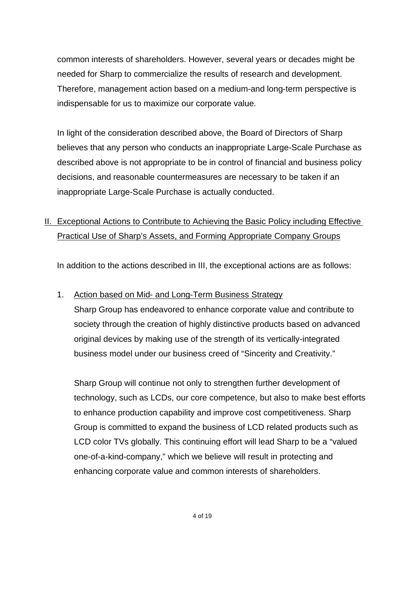common interests of shareholders. However, several years or decades might be needed for Sharp to commercialize the results of research and development. Therefore, management action based on a medium-and long-term perspective is indispensable for us to maximize our corporate value.

In light of the consideration described above, the Board of Directors of Sharp believes that any person who conducts an inappropriate Large-Scale Purchase as described above is not appropriate to be in control of financial and business policy decisions, and reasonable countermeasures are necessary to be taken if an inappropriate Large-Scale Purchase is actually conducted.

## II. Exceptional Actions to Contribute to Achieving the Basic Policy including Effective Practical Use of Sharp's Assets, and Forming Appropriate Company Groups

In addition to the actions described in III, the exceptional actions are as follows:

### 1. Action based on Mid- and Long-Term Business Strategy

Sharp Group has endeavored to enhance corporate value and contribute to society through the creation of highly distinctive products based on advanced original devices by making use of the strength of its vertically-integrated business model under our business creed of "Sincerity and Creativity."

Sharp Group will continue not only to strengthen further development of technology, such as LCDs, our core competence, but also to make best efforts to enhance production capability and improve cost competitiveness. Sharp Group is committed to expand the business of LCD related products such as LCD color TVs globally. This continuing effort will lead Sharp to be a "valued one-of-a-kind-company," which we believe will result in protecting and enhancing corporate value and common interests of shareholders.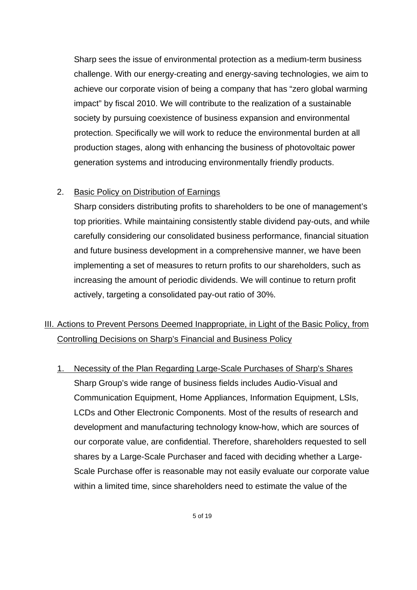Sharp sees the issue of environmental protection as a medium-term business challenge. With our energy-creating and energy-saving technologies, we aim to achieve our corporate vision of being a company that has "zero global warming impact" by fiscal 2010. We will contribute to the realization of a sustainable society by pursuing coexistence of business expansion and environmental protection. Specifically we will work to reduce the environmental burden at all production stages, along with enhancing the business of photovoltaic power generation systems and introducing environmentally friendly products.

#### 2. Basic Policy on Distribution of Earnings

Sharp considers distributing profits to shareholders to be one of management's top priorities. While maintaining consistently stable dividend pay-outs, and while carefully considering our consolidated business performance, financial situation and future business development in a comprehensive manner, we have been implementing a set of measures to return profits to our shareholders, such as increasing the amount of periodic dividends. We will continue to return profit actively, targeting a consolidated pay-out ratio of 30%.

## III. Actions to Prevent Persons Deemed Inappropriate, in Light of the Basic Policy, from Controlling Decisions on Sharp's Financial and Business Policy

1. Necessity of the Plan Regarding Large-Scale Purchases of Sharp's Shares Sharp Group's wide range of business fields includes Audio-Visual and Communication Equipment, Home Appliances, Information Equipment, LSIs, LCDs and Other Electronic Components. Most of the results of research and development and manufacturing technology know-how, which are sources of our corporate value, are confidential. Therefore, shareholders requested to sell shares by a Large-Scale Purchaser and faced with deciding whether a Large-Scale Purchase offer is reasonable may not easily evaluate our corporate value within a limited time, since shareholders need to estimate the value of the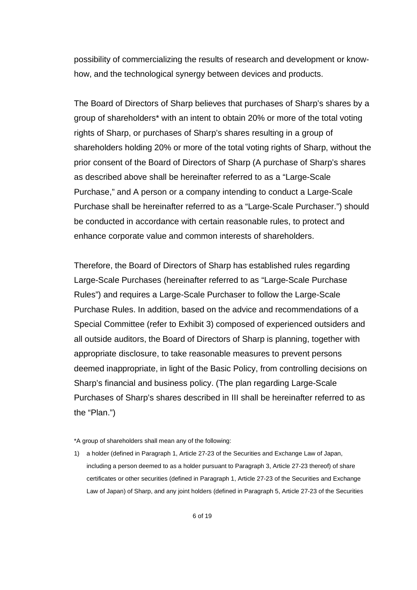possibility of commercializing the results of research and development or knowhow, and the technological synergy between devices and products.

The Board of Directors of Sharp believes that purchases of Sharp's shares by a group of shareholders\* with an intent to obtain 20% or more of the total voting rights of Sharp, or purchases of Sharp's shares resulting in a group of shareholders holding 20% or more of the total voting rights of Sharp, without the prior consent of the Board of Directors of Sharp (A purchase of Sharp's shares as described above shall be hereinafter referred to as a "Large-Scale Purchase," and A person or a company intending to conduct a Large-Scale Purchase shall be hereinafter referred to as a "Large-Scale Purchaser.") should be conducted in accordance with certain reasonable rules, to protect and enhance corporate value and common interests of shareholders.

Therefore, the Board of Directors of Sharp has established rules regarding Large-Scale Purchases (hereinafter referred to as "Large-Scale Purchase Rules") and requires a Large-Scale Purchaser to follow the Large-Scale Purchase Rules. In addition, based on the advice and recommendations of a Special Committee (refer to Exhibit 3) composed of experienced outsiders and all outside auditors, the Board of Directors of Sharp is planning, together with appropriate disclosure, to take reasonable measures to prevent persons deemed inappropriate, in light of the Basic Policy, from controlling decisions on Sharp's financial and business policy. (The plan regarding Large-Scale Purchases of Sharp's shares described in III shall be hereinafter referred to as the "Plan.")

<sup>\*</sup>A group of shareholders shall mean any of the following:

<sup>1)</sup> a holder (defined in Paragraph 1, Article 27-23 of the Securities and Exchange Law of Japan, including a person deemed to as a holder pursuant to Paragraph 3, Article 27-23 thereof) of share certificates or other securities (defined in Paragraph 1, Article 27-23 of the Securities and Exchange Law of Japan) of Sharp, and any joint holders (defined in Paragraph 5, Article 27-23 of the Securities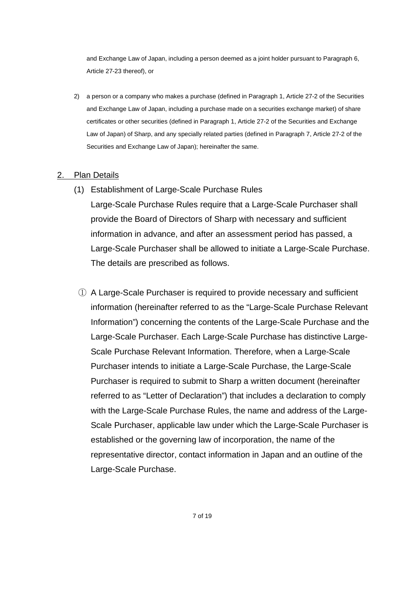and Exchange Law of Japan, including a person deemed as a joint holder pursuant to Paragraph 6, Article 27-23 thereof), or

2) a person or a company who makes a purchase (defined in Paragraph 1, Article 27-2 of the Securities and Exchange Law of Japan, including a purchase made on a securities exchange market) of share certificates or other securities (defined in Paragraph 1, Article 27-2 of the Securities and Exchange Law of Japan) of Sharp, and any specially related parties (defined in Paragraph 7, Article 27-2 of the Securities and Exchange Law of Japan); hereinafter the same.

#### 2. Plan Details

- (1) Establishment of Large-Scale Purchase Rules
	- Large-Scale Purchase Rules require that a Large-Scale Purchaser shall provide the Board of Directors of Sharp with necessary and sufficient information in advance, and after an assessment period has passed, a Large-Scale Purchaser shall be allowed to initiate a Large-Scale Purchase. The details are prescribed as follows.
	- A Large-Scale Purchaser is required to provide necessary and sufficient information (hereinafter referred to as the "Large-Scale Purchase Relevant Information") concerning the contents of the Large-Scale Purchase and the Large-Scale Purchaser. Each Large-Scale Purchase has distinctive Large-Scale Purchase Relevant Information. Therefore, when a Large-Scale Purchaser intends to initiate a Large-Scale Purchase, the Large-Scale Purchaser is required to submit to Sharp a written document (hereinafter referred to as "Letter of Declaration") that includes a declaration to comply with the Large-Scale Purchase Rules, the name and address of the Large-Scale Purchaser, applicable law under which the Large-Scale Purchaser is established or the governing law of incorporation, the name of the representative director, contact information in Japan and an outline of the Large-Scale Purchase.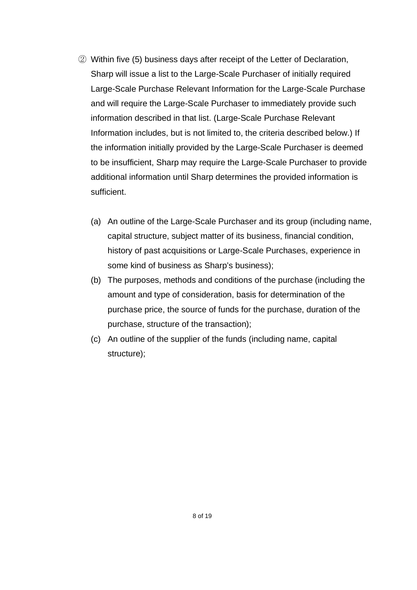- Within five (5) business days after receipt of the Letter of Declaration, Sharp will issue a list to the Large-Scale Purchaser of initially required Large-Scale Purchase Relevant Information for the Large-Scale Purchase and will require the Large-Scale Purchaser to immediately provide such information described in that list. (Large-Scale Purchase Relevant Information includes, but is not limited to, the criteria described below.) If the information initially provided by the Large-Scale Purchaser is deemed to be insufficient, Sharp may require the Large-Scale Purchaser to provide additional information until Sharp determines the provided information is sufficient.
	- (a) An outline of the Large-Scale Purchaser and its group (including name, capital structure, subject matter of its business, financial condition, history of past acquisitions or Large-Scale Purchases, experience in some kind of business as Sharp's business);
	- (b) The purposes, methods and conditions of the purchase (including the amount and type of consideration, basis for determination of the purchase price, the source of funds for the purchase, duration of the purchase, structure of the transaction);
	- (c) An outline of the supplier of the funds (including name, capital structure);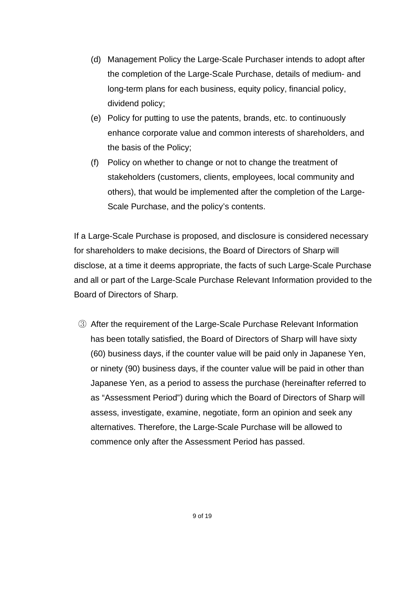- (d) Management Policy the Large-Scale Purchaser intends to adopt after the completion of the Large-Scale Purchase, details of medium- and long-term plans for each business, equity policy, financial policy, dividend policy;
- (e) Policy for putting to use the patents, brands, etc. to continuously enhance corporate value and common interests of shareholders, and the basis of the Policy;
- (f) Policy on whether to change or not to change the treatment of stakeholders (customers, clients, employees, local community and others), that would be implemented after the completion of the Large-Scale Purchase, and the policy's contents.

If a Large-Scale Purchase is proposed, and disclosure is considered necessary for shareholders to make decisions, the Board of Directors of Sharp will disclose, at a time it deems appropriate, the facts of such Large-Scale Purchase and all or part of the Large-Scale Purchase Relevant Information provided to the Board of Directors of Sharp.

 After the requirement of the Large-Scale Purchase Relevant Information has been totally satisfied, the Board of Directors of Sharp will have sixty (60) business days, if the counter value will be paid only in Japanese Yen, or ninety (90) business days, if the counter value will be paid in other than Japanese Yen, as a period to assess the purchase (hereinafter referred to as "Assessment Period") during which the Board of Directors of Sharp will assess, investigate, examine, negotiate, form an opinion and seek any alternatives. Therefore, the Large-Scale Purchase will be allowed to commence only after the Assessment Period has passed.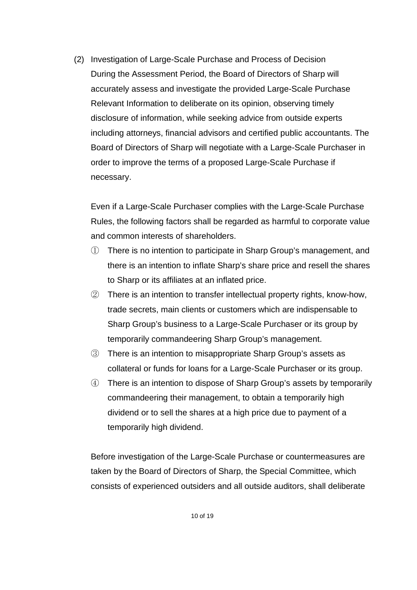(2) Investigation of Large-Scale Purchase and Process of Decision During the Assessment Period, the Board of Directors of Sharp will accurately assess and investigate the provided Large-Scale Purchase Relevant Information to deliberate on its opinion, observing timely disclosure of information, while seeking advice from outside experts including attorneys, financial advisors and certified public accountants. The Board of Directors of Sharp will negotiate with a Large-Scale Purchaser in order to improve the terms of a proposed Large-Scale Purchase if necessary.

Even if a Large-Scale Purchaser complies with the Large-Scale Purchase Rules, the following factors shall be regarded as harmful to corporate value and common interests of shareholders.

- There is no intention to participate in Sharp Group's management, and there is an intention to inflate Sharp's share price and resell the shares to Sharp or its affiliates at an inflated price.
- There is an intention to transfer intellectual property rights, know-how, trade secrets, main clients or customers which are indispensable to Sharp Group's business to a Large-Scale Purchaser or its group by temporarily commandeering Sharp Group's management.
- There is an intention to misappropriate Sharp Group's assets as collateral or funds for loans for a Large-Scale Purchaser or its group.
- There is an intention to dispose of Sharp Group's assets by temporarily commandeering their management, to obtain a temporarily high dividend or to sell the shares at a high price due to payment of a temporarily high dividend.

Before investigation of the Large-Scale Purchase or countermeasures are taken by the Board of Directors of Sharp, the Special Committee, which consists of experienced outsiders and all outside auditors, shall deliberate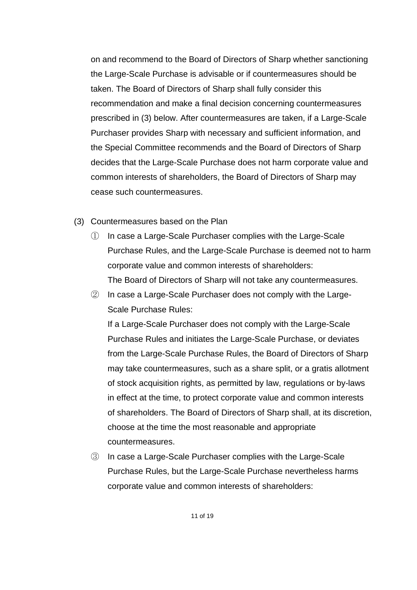on and recommend to the Board of Directors of Sharp whether sanctioning the Large-Scale Purchase is advisable or if countermeasures should be taken. The Board of Directors of Sharp shall fully consider this recommendation and make a final decision concerning countermeasures prescribed in (3) below. After countermeasures are taken, if a Large-Scale Purchaser provides Sharp with necessary and sufficient information, and the Special Committee recommends and the Board of Directors of Sharp decides that the Large-Scale Purchase does not harm corporate value and common interests of shareholders, the Board of Directors of Sharp may cease such countermeasures.

- (3) Countermeasures based on the Plan
	- In case a Large-Scale Purchaser complies with the Large-Scale Purchase Rules, and the Large-Scale Purchase is deemed not to harm corporate value and common interests of shareholders: The Board of Directors of Sharp will not take any countermeasures.
	- $\circled{2}$  In case a Large-Scale Purchaser does not comply with the Large-Scale Purchase Rules:

If a Large-Scale Purchaser does not comply with the Large-Scale Purchase Rules and initiates the Large-Scale Purchase, or deviates from the Large-Scale Purchase Rules, the Board of Directors of Sharp may take countermeasures, such as a share split, or a gratis allotment of stock acquisition rights, as permitted by law, regulations or by-laws in effect at the time, to protect corporate value and common interests of shareholders. The Board of Directors of Sharp shall, at its discretion, choose at the time the most reasonable and appropriate countermeasures.

 In case a Large-Scale Purchaser complies with the Large-Scale Purchase Rules, but the Large-Scale Purchase nevertheless harms corporate value and common interests of shareholders: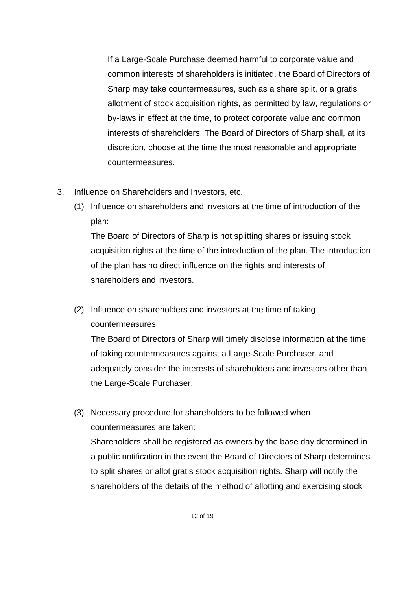If a Large-Scale Purchase deemed harmful to corporate value and common interests of shareholders is initiated, the Board of Directors of Sharp may take countermeasures, such as a share split, or a gratis allotment of stock acquisition rights, as permitted by law, regulations or by-laws in effect at the time, to protect corporate value and common interests of shareholders. The Board of Directors of Sharp shall, at its discretion, choose at the time the most reasonable and appropriate countermeasures.

- 3. Influence on Shareholders and Investors, etc.
	- (1) Influence on shareholders and investors at the time of introduction of the plan:

The Board of Directors of Sharp is not splitting shares or issuing stock acquisition rights at the time of the introduction of the plan. The introduction of the plan has no direct influence on the rights and interests of shareholders and investors.

(2) Influence on shareholders and investors at the time of taking countermeasures:

The Board of Directors of Sharp will timely disclose information at the time of taking countermeasures against a Large-Scale Purchaser, and adequately consider the interests of shareholders and investors other than the Large-Scale Purchaser.

(3) Necessary procedure for shareholders to be followed when countermeasures are taken: Shareholders shall be registered as owners by the base day determined in a public notification in the event the Board of Directors of Sharp determines to split shares or allot gratis stock acquisition rights. Sharp will notify the shareholders of the details of the method of allotting and exercising stock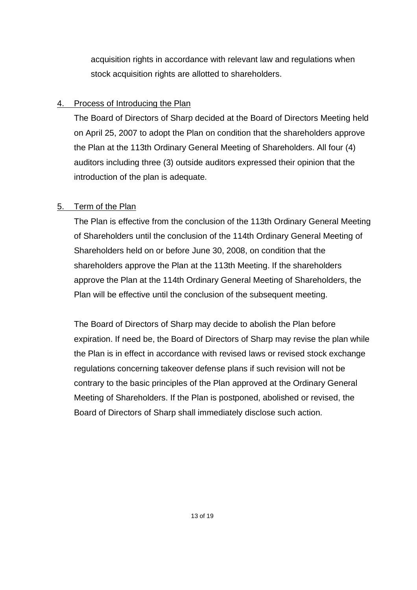acquisition rights in accordance with relevant law and regulations when stock acquisition rights are allotted to shareholders.

## 4. Process of Introducing the Plan

The Board of Directors of Sharp decided at the Board of Directors Meeting held on April 25, 2007 to adopt the Plan on condition that the shareholders approve the Plan at the 113th Ordinary General Meeting of Shareholders. All four (4) auditors including three (3) outside auditors expressed their opinion that the introduction of the plan is adequate.

## 5. Term of the Plan

The Plan is effective from the conclusion of the 113th Ordinary General Meeting of Shareholders until the conclusion of the 114th Ordinary General Meeting of Shareholders held on or before June 30, 2008, on condition that the shareholders approve the Plan at the 113th Meeting. If the shareholders approve the Plan at the 114th Ordinary General Meeting of Shareholders, the Plan will be effective until the conclusion of the subsequent meeting.

The Board of Directors of Sharp may decide to abolish the Plan before expiration. If need be, the Board of Directors of Sharp may revise the plan while the Plan is in effect in accordance with revised laws or revised stock exchange regulations concerning takeover defense plans if such revision will not be contrary to the basic principles of the Plan approved at the Ordinary General Meeting of Shareholders. If the Plan is postponed, abolished or revised, the Board of Directors of Sharp shall immediately disclose such action.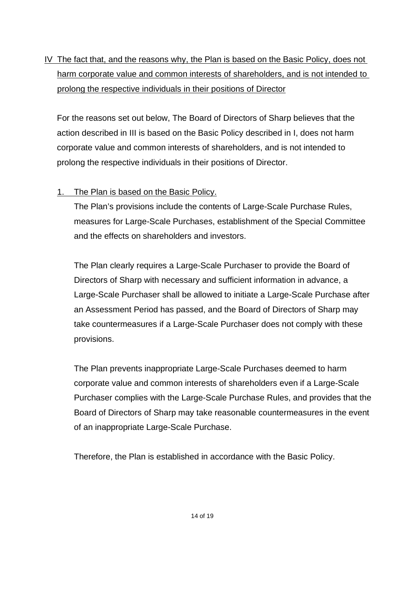IV The fact that, and the reasons why, the Plan is based on the Basic Policy, does not harm corporate value and common interests of shareholders, and is not intended to prolong the respective individuals in their positions of Director

For the reasons set out below, The Board of Directors of Sharp believes that the action described in III is based on the Basic Policy described in I, does not harm corporate value and common interests of shareholders, and is not intended to prolong the respective individuals in their positions of Director.

### 1. The Plan is based on the Basic Policy.

The Plan's provisions include the contents of Large-Scale Purchase Rules, measures for Large-Scale Purchases, establishment of the Special Committee and the effects on shareholders and investors.

The Plan clearly requires a Large-Scale Purchaser to provide the Board of Directors of Sharp with necessary and sufficient information in advance, a Large-Scale Purchaser shall be allowed to initiate a Large-Scale Purchase after an Assessment Period has passed, and the Board of Directors of Sharp may take countermeasures if a Large-Scale Purchaser does not comply with these provisions.

The Plan prevents inappropriate Large-Scale Purchases deemed to harm corporate value and common interests of shareholders even if a Large-Scale Purchaser complies with the Large-Scale Purchase Rules, and provides that the Board of Directors of Sharp may take reasonable countermeasures in the event of an inappropriate Large-Scale Purchase.

Therefore, the Plan is established in accordance with the Basic Policy.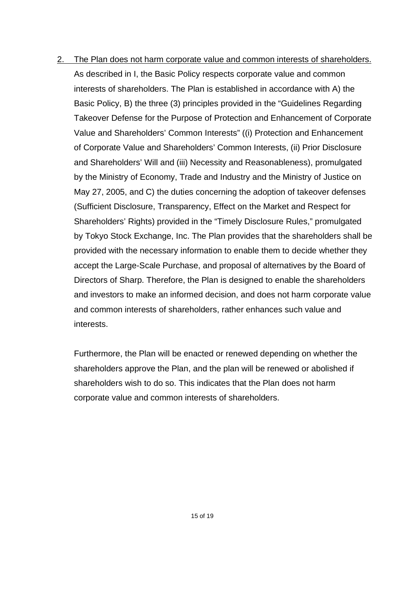2. The Plan does not harm corporate value and common interests of shareholders. As described in I, the Basic Policy respects corporate value and common interests of shareholders. The Plan is established in accordance with A) the Basic Policy, B) the three (3) principles provided in the "Guidelines Regarding Takeover Defense for the Purpose of Protection and Enhancement of Corporate Value and Shareholders' Common Interests" ((i) Protection and Enhancement of Corporate Value and Shareholders' Common Interests, (ii) Prior Disclosure and Shareholders' Will and (iii) Necessity and Reasonableness), promulgated by the Ministry of Economy, Trade and Industry and the Ministry of Justice on May 27, 2005, and C) the duties concerning the adoption of takeover defenses (Sufficient Disclosure, Transparency, Effect on the Market and Respect for Shareholders' Rights) provided in the "Timely Disclosure Rules," promulgated by Tokyo Stock Exchange, Inc. The Plan provides that the shareholders shall be provided with the necessary information to enable them to decide whether they accept the Large-Scale Purchase, and proposal of alternatives by the Board of Directors of Sharp. Therefore, the Plan is designed to enable the shareholders and investors to make an informed decision, and does not harm corporate value and common interests of shareholders, rather enhances such value and interests.

Furthermore, the Plan will be enacted or renewed depending on whether the shareholders approve the Plan, and the plan will be renewed or abolished if shareholders wish to do so. This indicates that the Plan does not harm corporate value and common interests of shareholders.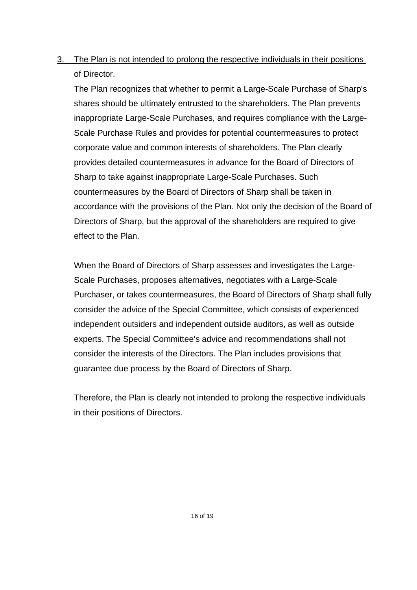3. The Plan is not intended to prolong the respective individuals in their positions of Director.

The Plan recognizes that whether to permit a Large-Scale Purchase of Sharp's shares should be ultimately entrusted to the shareholders. The Plan prevents inappropriate Large-Scale Purchases, and requires compliance with the Large-Scale Purchase Rules and provides for potential countermeasures to protect corporate value and common interests of shareholders. The Plan clearly provides detailed countermeasures in advance for the Board of Directors of Sharp to take against inappropriate Large-Scale Purchases. Such countermeasures by the Board of Directors of Sharp shall be taken in accordance with the provisions of the Plan. Not only the decision of the Board of Directors of Sharp, but the approval of the shareholders are required to give effect to the Plan.

When the Board of Directors of Sharp assesses and investigates the Large-Scale Purchases, proposes alternatives, negotiates with a Large-Scale Purchaser, or takes countermeasures, the Board of Directors of Sharp shall fully consider the advice of the Special Committee, which consists of experienced independent outsiders and independent outside auditors, as well as outside experts. The Special Committee's advice and recommendations shall not consider the interests of the Directors. The Plan includes provisions that guarantee due process by the Board of Directors of Sharp.

Therefore, the Plan is clearly not intended to prolong the respective individuals in their positions of Directors.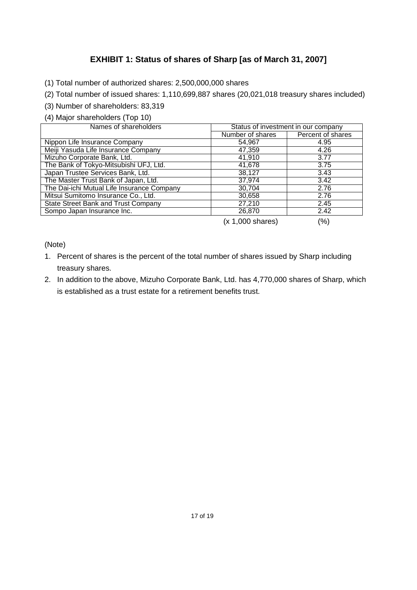## **EXHIBIT 1: Status of shares of Sharp [as of March 31, 2007]**

- (1) Total number of authorized shares: 2,500,000,000 shares
- (2) Total number of issued shares: 1,110,699,887 shares (20,021,018 treasury shares included)
- (3) Number of shareholders: 83,319
- (4) Major shareholders (Top 10)

| Names of shareholders                      | Status of investment in our company |                   |
|--------------------------------------------|-------------------------------------|-------------------|
|                                            | Number of shares                    | Percent of shares |
| Nippon Life Insurance Company              | 54,967                              | 4.95              |
| Meiji Yasuda Life Insurance Company        | 47,359                              | 4.26              |
| Mizuho Corporate Bank, Ltd.                | 41,910                              | 3.77              |
| The Bank of Tokyo-Mitsubishi UFJ, Ltd.     | 41,678                              | 3.75              |
| Japan Trustee Services Bank, Ltd.          | 38,127                              | 3.43              |
| The Master Trust Bank of Japan, Ltd.       | 37,974                              | 3.42              |
| The Dai-ichi Mutual Life Insurance Company | 30,704                              | 2.76              |
| Mitsui Sumitomo Insurance Co., Ltd.        | 30,658                              | 2.76              |
| State Street Bank and Trust Company        | 27,210                              | 2.45              |
| Sompo Japan Insurance Inc.                 | 26,870                              | 2.42              |

(x 1,000 shares) (%)

(Note)

- 1. Percent of shares is the percent of the total number of shares issued by Sharp including treasury shares.
- 2. In addition to the above, Mizuho Corporate Bank, Ltd. has 4,770,000 shares of Sharp, which is established as a trust estate for a retirement benefits trust.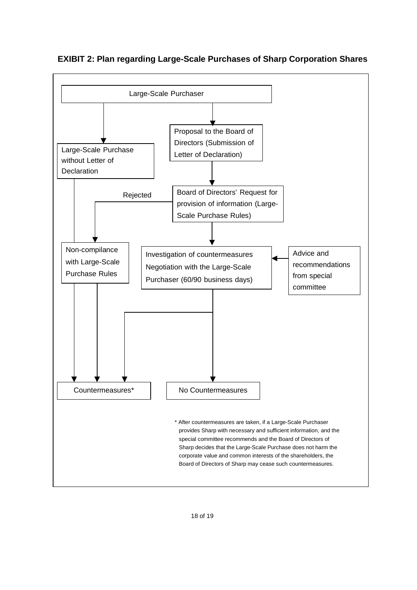

**EXIBIT 2: Plan regarding Large-Scale Purchases of Sharp Corporation Shares**